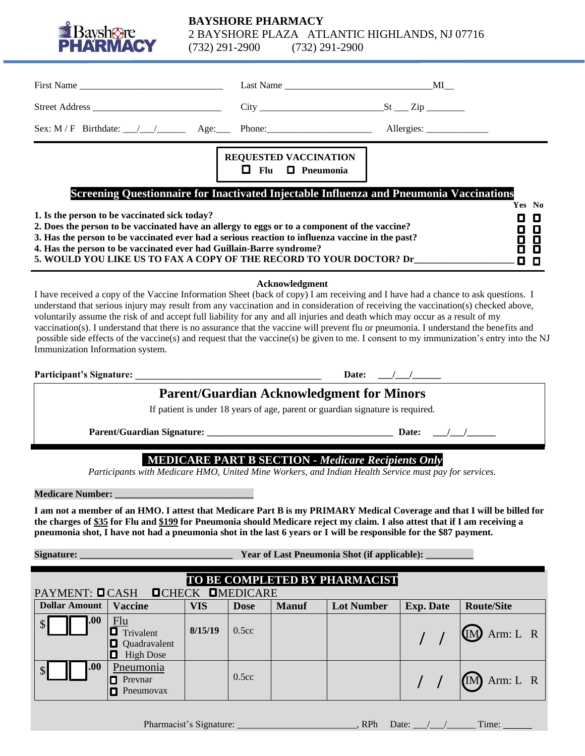

### **BAYSHORE PHARMACY** 2 BAYSHORE PLAZA ATLANTIC HIGHLANDS, NJ 07716<br>(732) 291-2900 (732) 291-2900 (732) 291-2900 (732) 291-2900

|                                                                                                                                                                                                                                                                                                                                                                                                                                                                                                                                                                                                                                                                                                                                                     | First Name                                                                                                       |            |                                 |                              |                   |  |                  |                   |
|-----------------------------------------------------------------------------------------------------------------------------------------------------------------------------------------------------------------------------------------------------------------------------------------------------------------------------------------------------------------------------------------------------------------------------------------------------------------------------------------------------------------------------------------------------------------------------------------------------------------------------------------------------------------------------------------------------------------------------------------------------|------------------------------------------------------------------------------------------------------------------|------------|---------------------------------|------------------------------|-------------------|--|------------------|-------------------|
|                                                                                                                                                                                                                                                                                                                                                                                                                                                                                                                                                                                                                                                                                                                                                     |                                                                                                                  |            |                                 |                              |                   |  |                  |                   |
|                                                                                                                                                                                                                                                                                                                                                                                                                                                                                                                                                                                                                                                                                                                                                     | Sex: M/F Birthdate: $\angle$ $\angle$ $\angle$ $\angle$ Age: Phone: $\angle$ Phone: $\angle$ Allergies: $\angle$ |            |                                 |                              |                   |  |                  |                   |
|                                                                                                                                                                                                                                                                                                                                                                                                                                                                                                                                                                                                                                                                                                                                                     |                                                                                                                  |            |                                 | <b>REQUESTED VACCINATION</b> |                   |  |                  |                   |
|                                                                                                                                                                                                                                                                                                                                                                                                                                                                                                                                                                                                                                                                                                                                                     |                                                                                                                  |            | $\Box$ Flu                      | $\Box$ Pneumonia             |                   |  |                  |                   |
| Screening Questionnaire for Inactivated Injectable Influenza and Pneumonia Vaccinations<br>Yes No                                                                                                                                                                                                                                                                                                                                                                                                                                                                                                                                                                                                                                                   |                                                                                                                  |            |                                 |                              |                   |  |                  |                   |
| 1. Is the person to be vaccinated sick today?<br>O<br>O<br>2. Does the person to be vaccinated have an allergy to eggs or to a component of the vaccine?<br>0<br>O<br>3. Has the person to be vaccinated ever had a serious reaction to influenza vaccine in the past?<br>8<br>O<br>4. Has the person to be vaccinated ever had Guillain-Barre syndrome?<br>O<br>5. WOULD YOU LIKE US TO FAX A COPY OF THE RECORD TO YOUR DOCTOR? Dr<br>О<br>0                                                                                                                                                                                                                                                                                                      |                                                                                                                  |            |                                 |                              |                   |  |                  |                   |
| Acknowledgment<br>I have received a copy of the Vaccine Information Sheet (back of copy) I am receiving and I have had a chance to ask questions. I<br>understand that serious injury may result from any vaccination and in consideration of receiving the vaccination(s) checked above,<br>voluntarily assume the risk of and accept full liability for any and all injuries and death which may occur as a result of my<br>vaccination(s). I understand that there is no assurance that the vaccine will prevent flu or pneumonia. I understand the benefits and<br>possible side effects of the vaccine(s) and request that the vaccine(s) be given to me. I consent to my immunization's entry into the NJ<br>Immunization Information system. |                                                                                                                  |            |                                 |                              |                   |  |                  |                   |
| Date: $\frac{\sqrt{1-\frac{1}{2}}}{\sqrt{1-\frac{1}{2}}}}$                                                                                                                                                                                                                                                                                                                                                                                                                                                                                                                                                                                                                                                                                          |                                                                                                                  |            |                                 |                              |                   |  |                  |                   |
| <b>Parent/Guardian Acknowledgment for Minors</b>                                                                                                                                                                                                                                                                                                                                                                                                                                                                                                                                                                                                                                                                                                    |                                                                                                                  |            |                                 |                              |                   |  |                  |                   |
| If patient is under 18 years of age, parent or guardian signature is required.                                                                                                                                                                                                                                                                                                                                                                                                                                                                                                                                                                                                                                                                      |                                                                                                                  |            |                                 |                              |                   |  |                  |                   |
|                                                                                                                                                                                                                                                                                                                                                                                                                                                                                                                                                                                                                                                                                                                                                     |                                                                                                                  |            |                                 |                              |                   |  |                  |                   |
| <b>MEDICARE PART B SECTION - Medicare Recipients Only</b><br>Participants with Medicare HMO, United Mine Workers, and Indian Health Service must pay for services.                                                                                                                                                                                                                                                                                                                                                                                                                                                                                                                                                                                  |                                                                                                                  |            |                                 |                              |                   |  |                  |                   |
| <b>Medicare Number:</b>                                                                                                                                                                                                                                                                                                                                                                                                                                                                                                                                                                                                                                                                                                                             |                                                                                                                  |            |                                 |                              |                   |  |                  |                   |
| I am not a member of an HMO. I attest that Medicare Part B is my PRIMARY Medical Coverage and that I will be billed for<br>the charges of \$35 for Flu and \$199 for Pneumonia should Medicare reject my claim. I also attest that if I am receiving a<br>pneumonia shot, I have not had a pneumonia shot in the last 6 years or I will be responsible for the \$87 payment.                                                                                                                                                                                                                                                                                                                                                                        |                                                                                                                  |            |                                 |                              |                   |  |                  |                   |
| Signature:<br><b>Year of Last Pneumonia Shot (if applicable):</b>                                                                                                                                                                                                                                                                                                                                                                                                                                                                                                                                                                                                                                                                                   |                                                                                                                  |            |                                 |                              |                   |  |                  |                   |
| TO BE COMPLETED BY PHARMACIST                                                                                                                                                                                                                                                                                                                                                                                                                                                                                                                                                                                                                                                                                                                       |                                                                                                                  |            |                                 |                              |                   |  |                  |                   |
| PAYMENT: <b>O</b> CASH<br><b>Dollar Amount</b>                                                                                                                                                                                                                                                                                                                                                                                                                                                                                                                                                                                                                                                                                                      | <b>OCHECK</b><br>Vaccine                                                                                         | <b>VIS</b> | <b>OMEDICARE</b><br><b>Dose</b> | <b>Manuf</b>                 | <b>Lot Number</b> |  | <b>Exp. Date</b> | <b>Route/Site</b> |
| .00                                                                                                                                                                                                                                                                                                                                                                                                                                                                                                                                                                                                                                                                                                                                                 | Flu<br><b>D</b> Trivalent                                                                                        | 8/15/19    | 0.5cc                           |                              |                   |  |                  | $(M)$ Arm: L R    |

**Quadravalent High Dose** 

.00 Pneumonia **Prevnar P** Pneumovax

0.5cc **/ / / / / / / / / / R** 

 $\frac{1}{\sqrt{2}}$  /  $\frac{1}{\sqrt{2}}$  Arm: L R